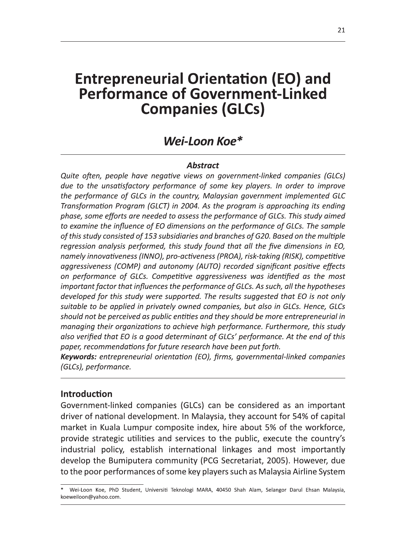# **Entrepreneurial Orier Performance of Government-Linked Companies (GLCs)**

**Entrepreneurial Orientation (EO) and<br>
Performance of Government-Linked<br>
Companies (GLCs)<br>
Wei-Loon Koe\*<br>
Abstract<br>
Wei-Loon Koe\*<br>
Abstract<br>
Quite often, people have negative views on government-linked companies (GLCs)<br>
d** important factor that influences the performance of GLCs. As such, all the hypotheses developed for this study were supported. The results suggested that EO is not only suitable to be applied in privately owned companies, but also in GLCs. Hence, GLCs should not be perceived as public entities and they should be more entrepreneurial in managing their organizations to achieve high performance. Furthermore, this study also verified that EO is a good determinant of GLCs' performance. At the end of this<br>paper, recommendations for future research have been put forth. on performance of outs. Competitive agressiveness was latentified as the most<br>important factor that influences the performance of GLCs. As such, all the hypotheses<br>developed for this study were supported. The results sugge

industrial policy, establish international linkages and most importantly develop the Bumiputera community (PCG Secretariat, 2005). However, due to the poor performances of some key players such as Malaysia Airline System

Wei-Loon Koe, PhD Student, Universiti Teknologi MARA, 40450 Shah Alam, Selangor Darul Ehsan Malaysia, koeweiloon@yahoo.com.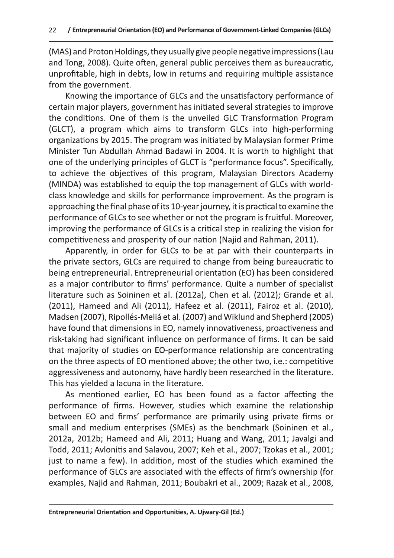(MAS) and Proton Holdings, they usually give people negative impressions (Lau and Tong, 2008). Quite often, general public perceives them as bureaucratic, unprofitable, high in debts, low in returns and requiring multiple assistance from the government.

Knowing the importance of GLCs and the unsatisfactory performance of certain major players, government has initiated several strategies to improve the conditions. One of them is the unveiled GLC Transformation Program (GLCT), a program which aims to transform GLCs into high-performing organizations by 2015. The program was initiated by Malaysian former Prime Minister Tun Abdullah Ahmad Badawi in 2004. It is worth to highlight that one of the underlying principles of GLCT is "performance focus". Specifically, to achieve the objectives of this program, Malaysian Directors Academy (MINDA) was established to equip the top management of GLCs with worldclass knowledge and skills for performance improvement. As the program is approaching the final phase of its 10-year journey, it is practical to examine the performance of GLCs to see whether or not the program is fruitful. Moreover, improving the performance of GLCs is a critical step in realizing the vision for competitiveness and prosperity of our nation (Najid and Rahman, 2011).

Apparently, in order for GLCs to be at par with their counterparts in the private sectors, GLCs are required to change from being bureaucratic to being entrepreneurial. Entrepreneurial orientation (EO) has been considered as a major contributor to firms' performance. Quite a number of specialist literature such as Soininen et al. (2012a), Chen et al. (2012); Grande et al. (2011), Hameed and Ali (2011), Hafeez et al. (2011), Fairoz et al. (2010), Madsen (2007), Ripollés-Meliá et al. (2007) and Wiklund and Shepherd (2005) have found that dimensions in EO, namely innovativeness, proactiveness and risk-taking had significant influence on performance of firms. It can be said that majority of studies on EO-performance relationship are concentrating on the three aspects of EO mentioned above; the other two, i.e.: competitive aggressiveness and autonomy, have hardly been researched in the literature. This has yielded a lacuna in the literature.

As mentioned earlier, EO has been found as a factor affecting the performance of firms. However, studies which examine the relationship between EO and firms' performance are primarily using private firms or small and medium enterprises (SMEs) as the benchmark (Soininen et al., 2012a, 2012b; Hameed and Ali, 2011; Huang and Wang, 2011; Javalgi and Todd, 2011; Avlonitis and Salavou, 2007; Keh et al., 2007; Tzokas et al., 2001; just to name a few). In addition, most of the studies which examined the performance of GLCs are associated with the effects of firm's ownership (for examples, Najid and Rahman, 2011; Boubakri et al., 2009; Razak et al., 2008,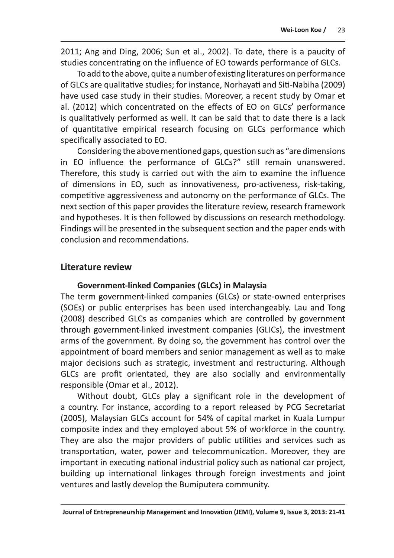2011; Ang and Ding, 2006; Sun et al., 2002). To date, there is a paucity of studies concentrating on the influence of EO towards performance of GLCs.

To add to the above, quite a number of existing literatures on performance of GLCs are qualitative studies; for instance, Norhayati and Siti-Nabiha (2009) have used case study in their studies. Moreover, a recent study by Omar et al. (2012) which concentrated on the effects of EO on GLCs' performance is qualitatively performed as well. It can be said that to date there is a lack of quantitative empirical research focusing on GLCs performance which specifically associated to EO.

Considering the above mentioned gaps, question such as "are dimensions" in EO influence the performance of GLCs?" still remain unanswered. Therefore, this study is carried out with the aim to examine the influence of dimensions in EO, such as innovativeness, pro-activeness, risk-taking, competitive aggressiveness and autonomy on the performance of GLCs. The next section of this paper provides the literature review, research framework and hypotheses. It is then followed by discussions on research methodology. Findings will be presented in the subsequent section and the paper ends with conclusion and recommendations.

### Literature review

#### **Government-linked Companies (GLCs) in Malaysia**

The term government-linked companies (GLCs) or state-owned enterprises (SOEs) or public enterprises has been used interchangeably. Lau and Tong (2008) described GLCs as companies which are controlled by government through government-linked investment companies (GLICs), the investment arms of the government. By doing so, the government has control over the appointment of board members and senior management as well as to make major decisions such as strategic, investment and restructuring. Although GLCs are profit orientated, they are also socially and environmentally responsible (Omar et al., 2012).

Without doubt, GLCs play a significant role in the development of a country. For instance, according to a report released by PCG Secretariat (2005), Malaysian GLCs account for 54% of capital market in Kuala Lumpur composite index and they employed about 5% of workforce in the country. They are also the major providers of public utilities and services such as transportation, water, power and telecommunication. Moreover, they are important in executing national industrial policy such as national car project, building up international linkages through foreign investments and joint ventures and lastly develop the Bumiputera community.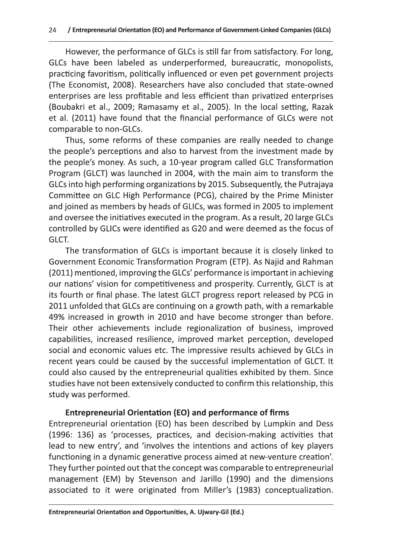However, the performance of GLCs is still far from satisfactory. For long, GLCs have been labeled as underperformed, bureaucratic, monopolists, practicing favoritism, politically influenced or even pet government projects (The Economist, 2008). Researchers have also concluded that state-owned enterprises are less profitable and less efficient than privatized enterprises (Boubakri et al., 2009; Ramasamy et al., 2005). In the local setting, Razak et al. (2011) have found that the financial performance of GLCs were not comparable to non-GLCs.

Thus, some reforms of these companies are really needed to change the people's perceptions and also to harvest from the investment made by the people's money. As such, a 10-year program called GLC Transformation Program (GLCT) was launched in 2004, with the main aim to transform the GLCs into high performing organizations by 2015. Subsequently, the Putrajaya Committee on GLC High Performance (PCG), chaired by the Prime Minister and joined as members by heads of GLICs, was formed in 2005 to implement and oversee the initiatives executed in the program. As a result, 20 large GLCs controlled by GLICs were identified as G20 and were deemed as the focus of GLCT.

The transformation of GLCs is important because it is closely linked to Government Economic Transformation Program (ETP). As Najid and Rahman (2011) mentioned, improving the GLCs' performance is important in achieving our nations' vision for competitiveness and prosperity. Currently, GLCT is at its fourth or final phase. The latest GLCT progress report released by PCG in 2011 unfolded that GLCs are continuing on a growth path, with a remarkable 49% increased in growth in 2010 and have become stronger than before. Their other achievements include regionalization of business, improved capabilities, increased resilience, improved market perception, developed social and economic values etc. The impressive results achieved by GLCs in recent years could be caused by the successful implementation of GLCT. It could also caused by the entrepreneurial qualities exhibited by them. Since studies have not been extensively conducted to confirm this relationship, this study was performed.

#### **Entrepreneurial Orientation (EO) and performance of firms**

Entrepreneurial orientation (EO) has been described by Lumpkin and Dess (1996: 136) as 'processes, practices, and decision-making activities that lead to new entry', and 'involves the intentions and actions of key players functioning in a dynamic generative process aimed at new-venture creation'. They further pointed out that the concept was comparable to entrepreneurial management (EM) by Stevenson and Jarillo (1990) and the dimensions associated to it were originated from Miller's (1983) conceptualization.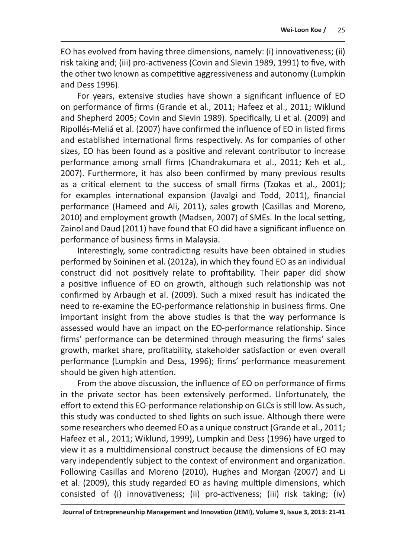EO has evolved from having three dimensions, namely: (i) innovativeness; (ii) risk taking and; (iii) pro-activeness (Covin and Slevin 1989, 1991) to five, with the other two known as competitive aggressiveness and autonomy (Lumpkin and Dess 1996).

For years, extensive studies have shown a significant influence of EO on performance of firms (Grande et al., 2011; Hafeez et al., 2011; Wiklund and Shepherd 2005; Covin and Slevin 1989). Specifically, Li et al. (2009) and Ripollés-Meliá et al. (2007) have confirmed the influence of EO in listed firms and established international firms respectively. As for companies of other sizes, EO has been found as a positive and relevant contributor to increase performance among small firms (Chandrakumara et al., 2011; Keh et al., 2007). Furthermore, it has also been confirmed by many previous results as a critical element to the success of small firms (Tzokas et al., 2001); for examples international expansion (Javalgi and Todd, 2011), financial performance (Hameed and Ali, 2011), sales growth (Casillas and Moreno, 2010) and employment growth (Madsen, 2007) of SMEs. In the local setting, Zainol and Daud (2011) have found that EO did have a significant influence on performance of business firms in Malaysia.

Interestingly, some contradicting results have been obtained in studies performed by Soininen et al. (2012a), in which they found EO as an individual construct did not positively relate to profitability. Their paper did show a positive influence of EO on growth, although such relationship was not confirmed by Arbaugh et al. (2009). Such a mixed result has indicated the need to re-examine the EO-performance relationship in business firms. One important insight from the above studies is that the way performance is assessed would have an impact on the EO-performance relationship. Since firms' performance can be determined through measuring the firms' sales growth, market share, profitability, stakeholder satisfaction or even overall performance (Lumpkin and Dess, 1996); firms' performance measurement should be given high attention.

From the above discussion, the influence of EO on performance of firms in the private sector has been extensively performed. Unfortunately, the effort to extend this EO-performance relationship on GLCs is still low. As such, this study was conducted to shed lights on such issue. Although there were some researchers who deemed EO as a unique construct (Grande et al., 2011; Hafeez et al., 2011; Wiklund, 1999), Lumpkin and Dess (1996) have urged to view it as a multidimensional construct because the dimensions of EO may vary independently subject to the context of environment and organization. Following Casillas and Moreno (2010), Hughes and Morgan (2007) and Li et al. (2009), this study regarded EO as having multiple dimensions, which consisted of (i) innovativeness; (ii) pro-activeness; (iii) risk taking; (iv)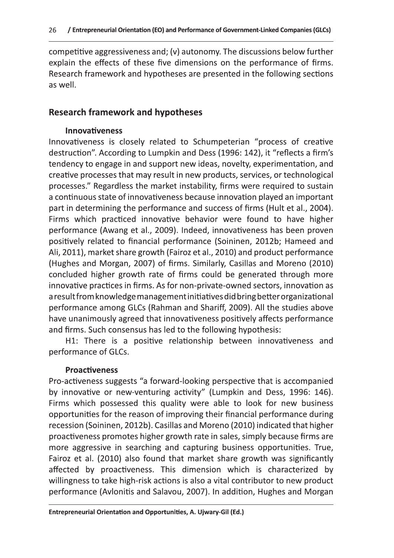competitive aggressiveness and; (v) autonomy. The discussions below further explain the effects of these five dimensions on the performance of firms. Research framework and hypotheses are presented in the following sections as well.

### **Research framework and hypotheses**

#### **Innovativeness**

Innovativeness is closely related to Schumpeterian "process of creative destruction". According to Lumpkin and Dess (1996: 142), it "reflects a firm's tendency to engage in and support new ideas, novelty, experimentation, and creative processes that may result in new products, services, or technological processes." Regardless the market instability, firms were required to sustain a continuous state of innovativeness because innovation played an important part in determining the performance and success of firms (Hult et al., 2004). Firms which practiced innovative behavior were found to have higher performance (Awang et al., 2009). Indeed, innovativeness has been proven positively related to financial performance (Soininen, 2012b; Hameed and Ali, 2011), market share growth (Fairoz et al., 2010) and product performance (Hughes and Morgan, 2007) of firms. Similarly, Casillas and Moreno (2010) concluded higher growth rate of firms could be generated through more innovative practices in firms. As for non-private-owned sectors, innovation as a result from knowledge management initiatives did bring better organizational performance among GLCs (Rahman and Shariff, 2009). All the studies above have unanimously agreed that innovativeness positively affects performance and firms. Such consensus has led to the following hypothesis:

H1: There is a positive relationship between innovativeness and performance of GLCs.

#### **Proactiveness**

Pro-activeness suggests "a forward-looking perspective that is accompanied by innovative or new-venturing activity" (Lumpkin and Dess, 1996: 146). Firms which possessed this quality were able to look for new business opportunities for the reason of improving their financial performance during recession (Soininen, 2012b). Casillas and Moreno (2010) indicated that higher proactiveness promotes higher growth rate in sales, simply because firms are more aggressive in searching and capturing business opportunities. True, Fairoz et al. (2010) also found that market share growth was significantly affected by proactiveness. This dimension which is characterized by willingness to take high-risk actions is also a vital contributor to new product performance (Avlonitis and Salavou, 2007). In addition, Hughes and Morgan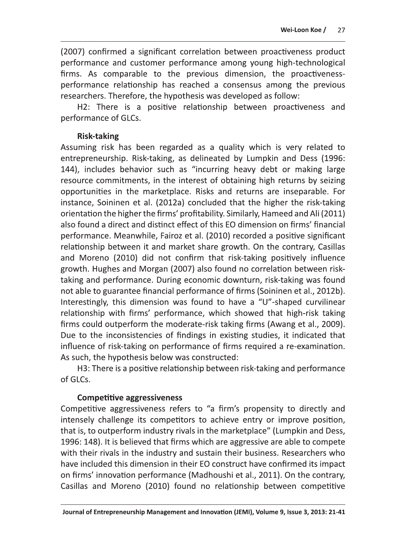(2007) confirmed a significant correlation between proactiveness product performance and customer performance among young high-technological firms. As comparable to the previous dimension, the proactivenessperformance relationship has reached a consensus among the previous researchers. Therefore, the hypothesis was developed as follow:

H2: There is a positive relationship between proactiveness and performance of GLCs.

#### **Risk-taking**

Assuming risk has been regarded as a quality which is very related to entrepreneurship. Risk-taking, as delineated by Lumpkin and Dess (1996: 144), includes behavior such as "incurring heavy debt or making large resource commitments, in the interest of obtaining high returns by seizing opportunities in the marketplace. Risks and returns are inseparable. For instance, Soininen et al. (2012a) concluded that the higher the risk-taking orientation the higher the firms' profitability. Similarly, Hameed and Ali (2011) also found a direct and distinct effect of this EO dimension on firms' financial performance. Meanwhile, Fairoz et al. (2010) recorded a positive significant relationship between it and market share growth. On the contrary, Casillas and Moreno (2010) did not confirm that risk-taking positively influence growth. Hughes and Morgan (2007) also found no correlation between risktaking and performance. During economic downturn, risk-taking was found not able to guarantee financial performance of firms (Soininen et al., 2012b). Interestingly, this dimension was found to have a "U"-shaped curvilinear relationship with firms' performance, which showed that high-risk taking firms could outperform the moderate-risk taking firms (Awang et al., 2009). Due to the inconsistencies of findings in existing studies, it indicated that influence of risk-taking on performance of firms required a re-examination. As such, the hypothesis below was constructed:

H3: There is a positive relationship between risk-taking and performance of GLCs.

#### **Competitive aggressiveness**

Competitive aggressiveness refers to "a firm's propensity to directly and intensely challenge its competitors to achieve entry or improve position, that is, to outperform industry rivals in the marketplace" (Lumpkin and Dess, 1996: 148). It is believed that firms which are aggressive are able to compete with their rivals in the industry and sustain their business. Researchers who have included this dimension in their EO construct have confirmed its impact on firms' innovation performance (Madhoushi et al., 2011). On the contrary, Casillas and Moreno (2010) found no relationship between competitive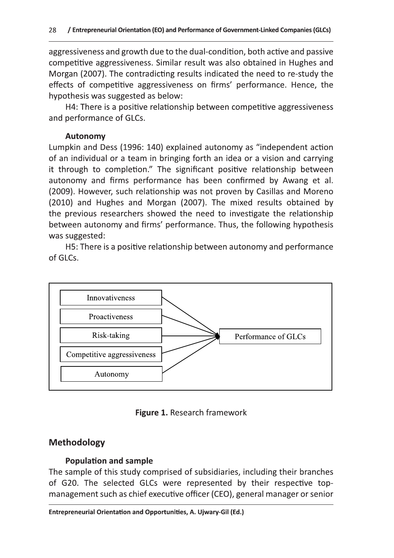aggressiveness and growth due to the dual-condition, both active and passive competitive aggressiveness. Similar result was also obtained in Hughes and Morgan (2007). The contradicting results indicated the need to re-study the effects of competitive aggressiveness on firms' performance. Hence, the hypothesis was suggested as below:

H4: There is a positive relationship between competitive aggressiveness and performance of GLCs.

#### **Autonomy**

Lumpkin and Dess (1996: 140) explained autonomy as "independent action of an individual or a team in bringing forth an idea or a vision and carrying it through to completion." The significant positive relationship between autonomy and firms performance has been confirmed by Awang et al. (2009). However, such relationship was not proven by Casillas and Moreno (2010) and Hughes and Morgan (2007). The mixed results obtained by the previous researchers showed the need to investigate the relationship between autonomy and firms' performance. Thus, the following hypothesis was suggested:

H5: There is a positive relationship between autonomy and performance of GLCs.



Figure 1. Research framework

#### **Methodology**

#### **Population and sample**

The sample of this study comprised of subsidiaries, including their branches of G20. The selected GLCs were represented by their respective topmanagement such as chief executive officer (CEO), general manager or senior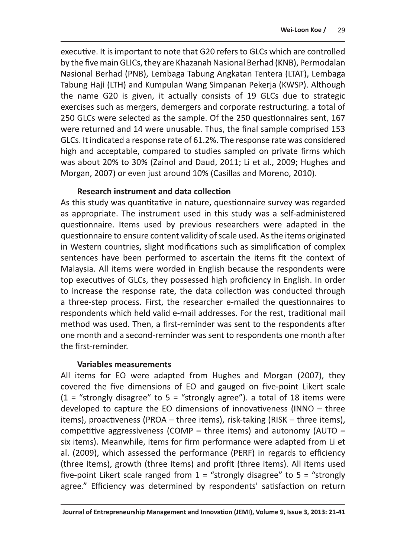executive. It is important to note that G20 refers to GLCs which are controlled by the five main GLICs, they are Khazanah Nasional Berhad (KNB), Permodalan Nasional Berhad (PNB), Lembaga Tabung Angkatan Tentera (LTAT), Lembaga Tabung Haji (LTH) and Kumpulan Wang Simpanan Pekerja (KWSP). Although the name G20 is given, it actually consists of 19 GLCs due to strategic exercises such as mergers, demergers and corporate restructuring. a total of 250 GLCs were selected as the sample. Of the 250 questionnaires sent, 167 were returned and 14 were unusable. Thus, the final sample comprised 153 GLCs. It indicated a response rate of 61.2%. The response rate was considered high and acceptable, compared to studies sampled on private firms which was about 20% to 30% (Zainol and Daud, 2011; Li et al., 2009; Hughes and Morgan, 2007) or even just around 10% (Casillas and Moreno, 2010).

#### **Research instrument and data collection**

As this study was quantitative in nature, questionnaire survey was regarded as appropriate. The instrument used in this study was a self-administered questionnaire. Items used by previous researchers were adapted in the questionnaire to ensure content validity of scale used. As the items originated in Western countries, slight modifications such as simplification of complex sentences have been performed to ascertain the items fit the context of Malaysia. All items were worded in English because the respondents were top executives of GLCs, they possessed high proficiency in English. In order to increase the response rate, the data collection was conducted through a three-step process. First, the researcher e-mailed the questionnaires to respondents which held valid e-mail addresses. For the rest, traditional mail method was used. Then, a first-reminder was sent to the respondents after one month and a second-reminder was sent to respondents one month after the first-reminder.

#### **Variables measurements**

All items for EO were adapted from Hughes and Morgan (2007), they covered the five dimensions of EO and gauged on five-point Likert scale  $(1 =$  "strongly disagree" to 5 = "strongly agree"). a total of 18 items were developed to capture the EO dimensions of innovativeness (INNO  $-$  three items), proactiveness (PROA – three items), risk-taking (RISK – three items), competitive aggressiveness (COMP  $-$  three items) and autonomy (AUTO  $$ six items). Meanwhile, items for firm performance were adapted from Li et al. (2009), which assessed the performance (PERF) in regards to efficiency (three items), growth (three items) and profit (three items). All items used five-point Likert scale ranged from  $1$  = "strongly disagree" to  $5$  = "strongly agree." Efficiency was determined by respondents' satisfaction on return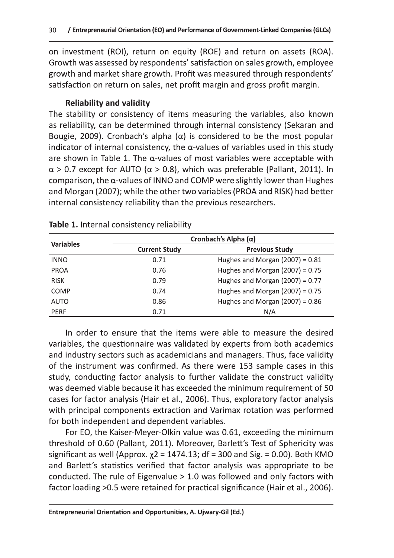## y and validity

30 / Entrepreneurial Orientation (EO) and Performance of Government-Linked Companies (GLCs)<br>
on investment (ROI), return on equity (ROE) and return on assets (ROA).<br>
Growth was assessed by respondents' satisfaction on sal 30 / Entrepreneurial Orientation (EO) and Performance of Government-Linked Companies (GLGs)<br>
on investment (ROI), return on equity (ROE) and return on assets (ROA).<br>
Growth was assessed by respondents' statistation on sal

|                  | internal consistency reliability than the previous researchers.<br>Table 1. Internal consistency reliability | indicator of internal consistency, the $\alpha$ -values of variables used in this study<br>are shown in Table 1. The $\alpha$ -values of most variables were acceptable with<br>$\alpha$ > 0.7 except for AUTO ( $\alpha$ > 0.8), which was preferable (Pallant, 2011). In<br>comparison, the $\alpha$ -values of INNO and COMP were slightly lower than Hughes<br>and Morgan (2007); while the other two variables (PROA and RISK) had better |
|------------------|--------------------------------------------------------------------------------------------------------------|------------------------------------------------------------------------------------------------------------------------------------------------------------------------------------------------------------------------------------------------------------------------------------------------------------------------------------------------------------------------------------------------------------------------------------------------|
|                  |                                                                                                              |                                                                                                                                                                                                                                                                                                                                                                                                                                                |
|                  |                                                                                                              | Cronbach's Alpha $(\alpha)$                                                                                                                                                                                                                                                                                                                                                                                                                    |
| <b>Variables</b> | <b>Current Study</b>                                                                                         | <b>Previous Study</b>                                                                                                                                                                                                                                                                                                                                                                                                                          |
| <b>INNO</b>      | 0.71                                                                                                         | Hughes and Morgan $(2007) = 0.81$                                                                                                                                                                                                                                                                                                                                                                                                              |
| <b>PROA</b>      | 0.76                                                                                                         | Hughes and Morgan $(2007) = 0.75$                                                                                                                                                                                                                                                                                                                                                                                                              |
| <b>RISK</b>      | 0.79                                                                                                         | Hughes and Morgan $(2007) = 0.77$                                                                                                                                                                                                                                                                                                                                                                                                              |
| <b>COMP</b>      | 0.74                                                                                                         | Hughes and Morgan $(2007) = 0.75$                                                                                                                                                                                                                                                                                                                                                                                                              |
| <b>AUTO</b>      | 0.86                                                                                                         | Hughes and Morgan $(2007) = 0.86$                                                                                                                                                                                                                                                                                                                                                                                                              |

and Morgan (2007); while the other two variables (PROA and RISK) had better<br>
internal consistency reliability than the previous researchers.<br>
Table 1. Internal consistency reliability<br>
wavables<br>
Wavables<br>
Wavables<br>
Wavabl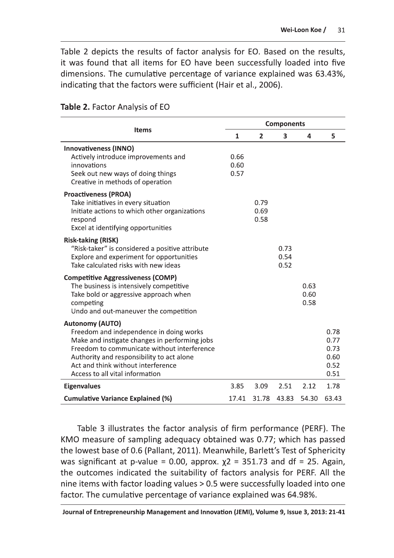Table 2 depicts the results of factor analysis for EO. Based on the results, it was found that all items for EO have been successfully loaded into five dimensions. The cumulative percentage of variance explained was 63.43%, indicating that the factors were sufficient (Hair et al., 2006).

|                                                                                                                                                                                                                                                                                         | <b>Components</b>    |                      |                      |                      |                                              |  |
|-----------------------------------------------------------------------------------------------------------------------------------------------------------------------------------------------------------------------------------------------------------------------------------------|----------------------|----------------------|----------------------|----------------------|----------------------------------------------|--|
| <b>Items</b>                                                                                                                                                                                                                                                                            | $\mathbf{1}$         | $\overline{2}$       | 3                    | 4                    | 5                                            |  |
| <b>Innovativeness (INNO)</b><br>Actively introduce improvements and<br>innovations<br>Seek out new ways of doing things<br>Creative in methods of operation                                                                                                                             | 0.66<br>0.60<br>0.57 |                      |                      |                      |                                              |  |
| <b>Proactiveness (PROA)</b><br>Take initiatives in every situation<br>Initiate actions to which other organizations<br>respond<br>Excel at identifying opportunities                                                                                                                    |                      | 0.79<br>0.69<br>0.58 |                      |                      |                                              |  |
| <b>Risk-taking (RISK)</b><br>"Risk-taker" is considered a positive attribute<br>Explore and experiment for opportunities<br>Take calculated risks with new ideas                                                                                                                        |                      |                      | 0.73<br>0.54<br>0.52 |                      |                                              |  |
| <b>Competitive Aggressiveness (COMP)</b><br>The business is intensively competitive<br>Take bold or aggressive approach when<br>competing<br>Undo and out-maneuver the competition                                                                                                      |                      |                      |                      | 0.63<br>0.60<br>0.58 |                                              |  |
| <b>Autonomy (AUTO)</b><br>Freedom and independence in doing works<br>Make and instigate changes in performing jobs<br>Freedom to communicate without interference<br>Authority and responsibility to act alone<br>Act and think without interference<br>Access to all vital information |                      |                      |                      |                      | 0.78<br>0.77<br>0.73<br>0.60<br>0.52<br>0.51 |  |
| <b>Eigenvalues</b>                                                                                                                                                                                                                                                                      | 3.85                 | 3.09                 | 2.51                 | 2.12                 | 1.78                                         |  |
| <b>Cumulative Variance Explained (%)</b>                                                                                                                                                                                                                                                | 17.41                | 31.78                | 43.83                | 54.30                | 63.43                                        |  |

Table 2. Factor Analysis of EO

Table 3 illustrates the factor analysis of firm performance (PERF). The KMO measure of sampling adequacy obtained was 0.77; which has passed the lowest base of 0.6 (Pallant, 2011). Meanwhile, Barlett's Test of Sphericity was significant at p-value = 0.00, approx.  $x^2$  = 351.73 and df = 25. Again, the outcomes indicated the suitability of factors analysis for PERF. All the nine items with factor loading values > 0.5 were successfully loaded into one factor. The cumulative percentage of variance explained was 64.98%.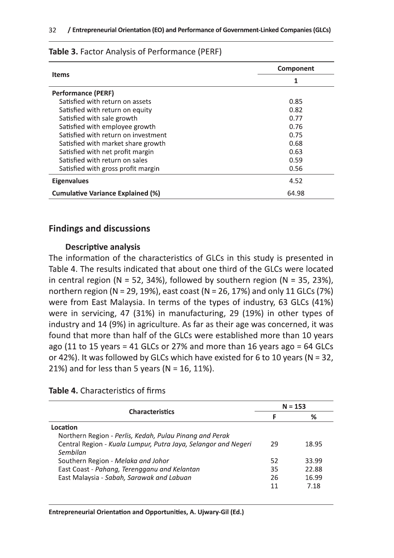|                                          | Component |  |  |
|------------------------------------------|-----------|--|--|
| <b>Items</b>                             | 1         |  |  |
| <b>Performance (PERF)</b>                |           |  |  |
| Satisfied with return on assets          | 0.85      |  |  |
| Satisfied with return on equity          | 0.82      |  |  |
| Satisfied with sale growth               | 0.77      |  |  |
| Satisfied with employee growth           | 0.76      |  |  |
| Satisfied with return on investment      | 0.75      |  |  |
| Satisfied with market share growth       | 0.68      |  |  |
| Satisfied with net profit margin         | 0.63      |  |  |
| Satisfied with return on sales           | 0.59      |  |  |
| Satisfied with gross profit margin       | 0.56      |  |  |
| <b>Eigenvalues</b>                       | 4.52      |  |  |
| <b>Cumulative Variance Explained (%)</b> | 64.98     |  |  |

#### Table 3. Factor Analysis of Performance (PERF)

#### **Findings and discussions**

#### **Descriptive analysis**

The information of the characteristics of GLCs in this study is presented in Table 4. The results indicated that about one third of the GLCs were located in central region ( $N = 52$ , 34%), followed by southern region ( $N = 35$ , 23%), northern region (N = 29, 19%), east coast (N = 26, 17%) and only 11 GLCs (7%) were from East Malaysia. In terms of the types of industry, 63 GLCs (41%) were in servicing, 47 (31%) in manufacturing, 29 (19%) in other types of industry and 14 (9%) in agriculture. As far as their age was concerned, it was found that more than half of the GLCs were established more than 10 years ago (11 to 15 years = 41 GLCs or 27% and more than 16 years ago = 64 GLCs or 42%). It was followed by GLCs which have existed for 6 to 10 years ( $N = 32$ , 21%) and for less than 5 years ( $N = 16$ , 11%).

#### Table 4. Characteristics of firms

| <b>Characteristics</b>                                         |    | $N = 153$ |
|----------------------------------------------------------------|----|-----------|
|                                                                |    | ℅         |
| Location                                                       |    |           |
| Northern Region - Perlis, Kedah, Pulau Pinang and Perak        |    |           |
| Central Region - Kuala Lumpur, Putra Jaya, Selangor and Negeri | 29 | 18.95     |
| Sembilan                                                       |    |           |
| Southern Region - Melaka and Johor                             | 52 | 33.99     |
| East Coast - Pahang, Terengganu and Kelantan                   | 35 | 22.88     |
| East Malaysia - Sabah, Sarawak and Labuan                      | 26 | 16.99     |
|                                                                | 11 | 7 18      |
|                                                                |    |           |

Entrepreneurial Orientation and Opportunities, A. Ujwary-Gil (Ed.)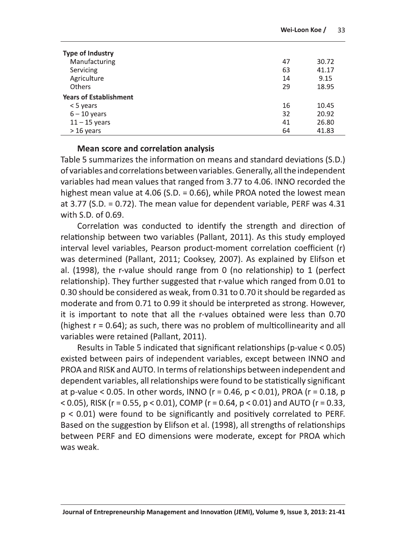| <b>Type of Industry</b>       |    |       |
|-------------------------------|----|-------|
| Manufacturing                 | 47 | 30.72 |
| Servicing                     | 63 | 41.17 |
| Agriculture                   | 14 | 9.15  |
| <b>Others</b>                 | 29 | 18.95 |
| <b>Years of Establishment</b> |    |       |
| $<$ 5 years                   | 16 | 10.45 |
| $6 - 10$ years                | 32 | 20.92 |
| $11 - 15$ years               | 41 | 26.80 |
| $>16$ years                   | 64 | 41.83 |

#### **Mean score and correlation analysis**

Table 5 summarizes the information on means and standard deviations (S.D.) of variables and correlations between variables. Generally, all the independent variables had mean values that ranged from 3.77 to 4.06. INNO recorded the highest mean value at 4.06 (S.D. = 0.66), while PROA noted the lowest mean at 3.77 (S.D. = 0.72). The mean value for dependent variable, PERF was  $4.31$ with S.D. of 0.69.

Correlation was conducted to identify the strength and direction of relationship between two variables (Pallant, 2011). As this study employed interval level variables, Pearson product-moment correlation coefficient (r) was determined (Pallant, 2011; Cooksey, 2007). As explained by Elifson et al. (1998), the r-value should range from 0 (no relationship) to 1 (perfect relationship). They further suggested that r-value which ranged from 0.01 to 0.30 should be considered as weak, from 0.31 to 0.70 it should be regarded as moderate and from 0.71 to 0.99 it should be interpreted as strong. However, it is important to note that all the r-values obtained were less than 0.70 (highest  $r = 0.64$ ); as such, there was no problem of multicollinearity and all variables were retained (Pallant, 2011).

Results in Table 5 indicated that significant relationships (p-value < 0.05) existed between pairs of independent variables, except between INNO and PROA and RISK and AUTO. In terms of relationships between independent and dependent variables, all relationships were found to be statistically significant at p-value < 0.05. In other words, INNO ( $r = 0.46$ ,  $p < 0.01$ ), PROA ( $r = 0.18$ , p < 0.05), RISK (r = 0.55, p < 0.01), COMP (r = 0.64, p < 0.01) and AUTO (r = 0.33,  $p < 0.01$ ) were found to be significantly and positively correlated to PERF. Based on the suggestion by Elifson et al. (1998), all strengths of relationships between PERF and EO dimensions were moderate, except for PROA which was weak.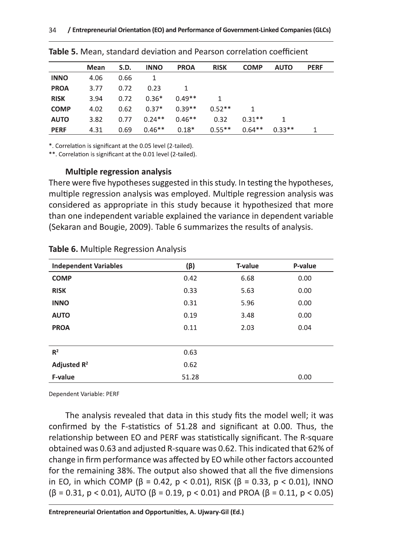|             | Mean | S.D. | <b>INNO</b> | <b>PROA</b> | <b>RISK</b> | <b>COMP</b> | <b>AUTO</b> | <b>PERF</b> |
|-------------|------|------|-------------|-------------|-------------|-------------|-------------|-------------|
| <b>INNO</b> | 4.06 | 0.66 | 1           |             |             |             |             |             |
| <b>PROA</b> | 3.77 | 0.72 | 0.23        |             |             |             |             |             |
| <b>RISK</b> | 3.94 | 0.72 | $0.36*$     | $0.49**$    |             |             |             |             |
| <b>COMP</b> | 4.02 | 0.62 | $0.37*$     | $0.39**$    | $0.52**$    |             |             |             |
| <b>AUTO</b> | 3.82 | 0.77 | $0.24**$    | $0.46**$    | 0.32        | $0.31**$    |             |             |
| <b>PERF</b> | 4.31 | 0.69 | $0.46**$    | $0.18*$     | $0.55**$    | $0.64**$    | $0.33**$    |             |

\*. Correlation is significant at the 0.05 level (2-tailed).

\*\*. Correlation is significant at the 0.01 level (2-tailed).

#### **Multiple regression analysis**

There were five hypotheses suggested in this study. In testing the hypotheses, multiple regression analysis was employed. Multiple regression analysis was considered as appropriate in this study because it hypothesized that more than one independent variable explained the variance in dependent variable (Sekaran and Bougie, 2009). Table 6 summarizes the results of analysis.

| <b>Independent Variables</b> | $(\beta)$ | T-value | P-value |
|------------------------------|-----------|---------|---------|
| <b>COMP</b>                  | 0.42      | 6.68    | 0.00    |
| <b>RISK</b>                  | 0.33      | 5.63    | 0.00    |
| <b>INNO</b>                  | 0.31      | 5.96    | 0.00    |
| <b>AUTO</b>                  | 0.19      | 3.48    | 0.00    |
| <b>PROA</b>                  | 0.11      | 2.03    | 0.04    |
|                              |           |         |         |
| R <sup>2</sup>               | 0.63      |         |         |
| Adjusted $R^2$               | 0.62      |         |         |
| F-value                      | 51.28     |         | 0.00    |

**Table 6.** Multiple Regression Analysis

Dependent Variable: PERF

The analysis revealed that data in this study fits the model well; it was confirmed by the F-statistics of 51.28 and significant at 0.00. Thus, the relationship between EO and PERF was statistically significant. The R-square obtained was 0.63 and adjusted R-square was 0.62. This indicated that 62% of change in firm performance was affected by EO while other factors accounted for the remaining 38%. The output also showed that all the five dimensions in EO, in which COMP ( $\beta$  = 0.42,  $p$  < 0.01), RISK ( $\beta$  = 0.33,  $p$  < 0.01), INNO  $(\beta = 0.31, p < 0.01)$ , AUTO ( $\beta = 0.19, p < 0.01$ ) and PROA ( $\beta = 0.11, p < 0.05$ )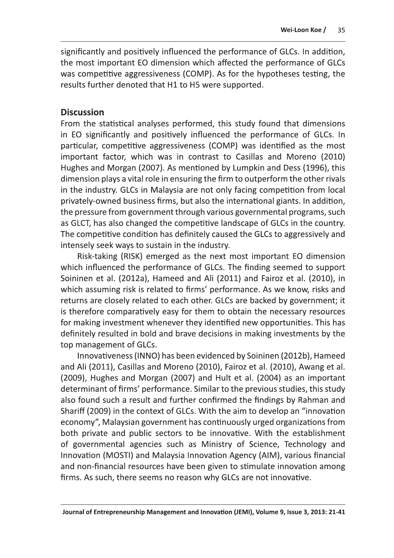significantly and positively influenced the performance of GLCs. In addition, the most important EO dimension which affected the performance of GLCs was competitive aggressiveness (COMP). As for the hypotheses testing, the results further denoted that H1 to H5 were supported.

#### **Discussion**

From the statistical analyses performed, this study found that dimensions in EO significantly and positively influenced the performance of GLCs. In particular, competitive aggressiveness (COMP) was identified as the most important factor, which was in contrast to Casillas and Moreno (2010) Hughes and Morgan (2007). As mentioned by Lumpkin and Dess (1996), this dimension plays a vital role in ensuring the firm to outperform the other rivals in the industry. GLCs in Malaysia are not only facing competition from local privately-owned business firms, but also the international giants. In addition, the pressure from government through various governmental programs, such as GLCT, has also changed the competitive landscape of GLCs in the country. The competitive condition has definitely caused the GLCs to aggressively and intensely seek ways to sustain in the industry.

Risk-taking (RISK) emerged as the next most important EO dimension which influenced the performance of GLCs. The finding seemed to support Soininen et al. (2012a), Hameed and Ali (2011) and Fairoz et al. (2010), in which assuming risk is related to firms' performance. As we know, risks and returns are closely related to each other. GLCs are backed by government; it is therefore comparatively easy for them to obtain the necessary resources for making investment whenever they identified new opportunities. This has definitely resulted in bold and brave decisions in making investments by the top management of GLCs.

Innovativeness (INNO) has been evidenced by Soininen (2012b), Hameed and Ali (2011), Casillas and Moreno (2010), Fairoz et al. (2010), Awang et al. (2009), Hughes and Morgan (2007) and Hult et al. (2004) as an important determinant of firms' performance. Similar to the previous studies, this study also found such a result and further confirmed the findings by Rahman and Shariff (2009) in the context of GLCs. With the aim to develop an "innovation economy", Malaysian government has continuously urged organizations from both private and public sectors to be innovative. With the establishment of governmental agencies such as Ministry of Science, Technology and Innovation (MOSTI) and Malaysia Innovation Agency (AIM), various financial and non-financial resources have been given to stimulate innovation among firms. As such, there seems no reason why GLCs are not innovative.

Journal of Entrepreneurship Management and Innovation (JEMI), Volume 9, Issue 3, 2013: 21-41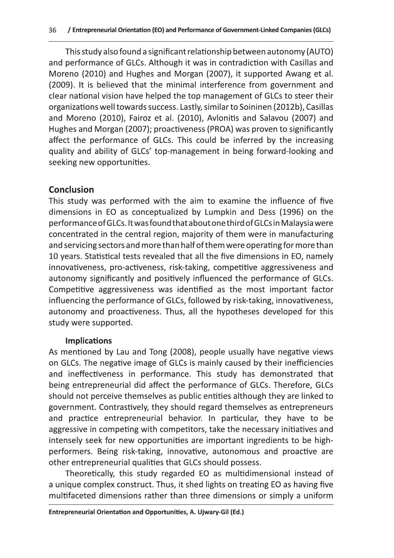This study also found a significant relationship between autonomy (AUTO) and performance of GLCs. Although it was in contradiction with Casillas and Moreno (2010) and Hughes and Morgan (2007), it supported Awang et al. (2009). It is believed that the minimal interference from government and clear national vision have helped the top management of GLCs to steer their organizations well towards success. Lastly, similar to Soininen (2012b), Casillas and Moreno (2010), Fairoz et al. (2010), Avlonitis and Salavou (2007) and Hughes and Morgan (2007); proactiveness (PROA) was proven to significantly affect the performance of GLCs. This could be inferred by the increasing quality and ability of GLCs' top-management in being forward-looking and seeking new opportunities.

### **Conclusion**

This study was performed with the aim to examine the influence of five dimensions in EO as conceptualized by Lumpkin and Dess (1996) on the performance of GLCs. It was found that about one third of GLCs in Malaysia were concentrated in the central region, majority of them were in manufacturing and servicing sectors and more than half of them were operating for more than 10 years. Statistical tests revealed that all the five dimensions in EO, namely innovativeness, pro-activeness, risk-taking, competitive aggressiveness and autonomy significantly and positively influenced the performance of GLCs. Competitive aggressiveness was identified as the most important factor influencing the performance of GLCs, followed by risk-taking, innovativeness, autonomy and proactiveness. Thus, all the hypotheses developed for this study were supported.

#### **Implications**

As mentioned by Lau and Tong (2008), people usually have negative views on GLCs. The negative image of GLCs is mainly caused by their inefficiencies and ineffectiveness in performance. This study has demonstrated that being entrepreneurial did affect the performance of GLCs. Therefore, GLCs should not perceive themselves as public entities although they are linked to government. Contrastively, they should regard themselves as entrepreneurs and practice entrepreneurial behavior. In particular, they have to be aggressive in competing with competitors, take the necessary initiatives and intensely seek for new opportunities are important ingredients to be highperformers. Being risk-taking, innovative, autonomous and proactive are other entrepreneurial qualities that GLCs should possess.

Theoretically, this study regarded EO as multidimensional instead of a unique complex construct. Thus, it shed lights on treating EO as having five multifaceted dimensions rather than three dimensions or simply a uniform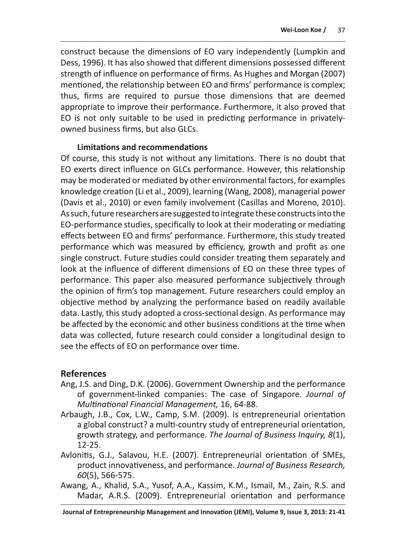construct because the dimensions of EO vary independently (Lumpkin and Dess, 1996). It has also showed that different dimensions possessed different strength of influence on performance of firms. As Hughes and Morgan (2007) mentioned, the relationship between EO and firms' performance is complex; thus, firms are required to pursue those dimensions that are deemed appropriate to improve their performance. Furthermore, it also proved that EO is not only suitable to be used in predicting performance in privatelyowned business firms, but also GLCs.

#### **Limitations and recommendations**

Of course, this study is not without any limitations. There is no doubt that EO exerts direct influence on GLCs performance. However, this relationship may be moderated or mediated by other environmental factors, for examples knowledge creation (Li et al., 2009), learning (Wang, 2008), managerial power (Davis et al., 2010) or even family involvement (Casillas and Moreno, 2010). As such, future researchers are suggested to integrate these constructs into the EO-performance studies, specifically to look at their moderating or mediating effects between EO and firms' performance. Furthermore, this study treated performance which was measured by efficiency, growth and profit as one single construct. Future studies could consider treating them separately and look at the influence of different dimensions of EO on these three types of performance. This paper also measured performance subjectively through the opinion of firm's top management. Future researchers could employ an objective method by analyzing the performance based on readily available data. Lastly, this study adopted a cross-sectional design. As performance may be affected by the economic and other business conditions at the time when data was collected, future research could consider a longitudinal design to see the effects of EO on performance over time.

#### **References**

- Ang, J.S. and Ding, D.K. (2006). Government Ownership and the performance of government-linked companies: The case of Singapore. Journal of Multinational Financial Management, 16, 64-88.
- Arbaugh, J.B., Cox, L.W., Camp, S.M. (2009). Is entrepreneurial orientation a global construct? a multi-country study of entrepreneurial orientation, growth strategy, and performance. The Journal of Business Inquiry, 8(1), 12-25.
- Avlonitis, G.J., Salavou, H.E. (2007). Entrepreneurial orientation of SMEs, product innovativeness, and performance. Journal of Business Research, 60(5), 566-575.
- Awang, A., Khalid, S.A., Yusof, A.A., Kassim, K.M., Ismail, M., Zain, R.S. and Madar, A.R.S. (2009). Entrepreneurial orientation and performance

Journal of Entrepreneurship Management and Innovation (JEMI), Volume 9, Issue 3, 2013: 21-41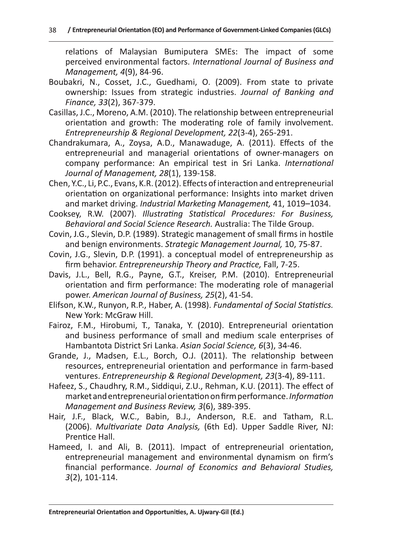- 
- 
- 39 / teteraneurist of texting into the minimizer of Government is the first of the minimizer of the minimizer of the minimizer of the minimizer of the minimizary of the minimizary of the minimizary of the minimizary of th
	-
	-
	-
	-
	-
	-
	-
	-
	-
	-
	-

Entrepreneurial Orientation and Opportunities, A. Ujwary-Gil (Ed.)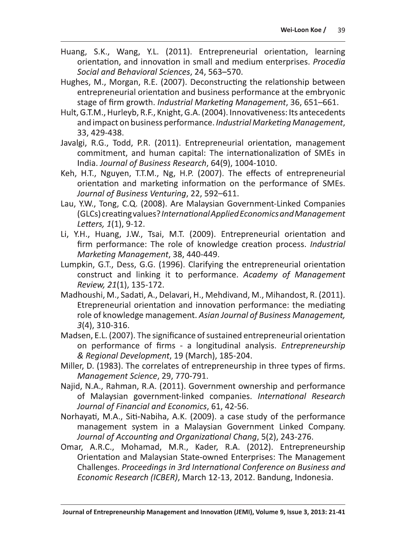- Huang, S.K., Wang, Y.L. (2011). Entrepreneurial orientation, learning orientation, and innovation in small and medium enterprises. Procedia Social and Behavioral Sciences, 24, 563-570.
- Hughes, M., Morgan, R.E. (2007). Deconstructing the relationship between entrepreneurial orientation and business performance at the embryonic stage of firm growth. Industrial Marketing Management, 36, 651–661.
- Hult, G.T.M., Hurleyb, R.F., Knight, G.A. (2004). Innovativeness: Its antecedents and impact on business performance. Industrial Marketing Management, 33, 429-438.
- Javalgi, R.G., Todd, P.R. (2011). Entrepreneurial orientation, management commitment, and human capital: The internationalization of SMEs in India. Journal of Business Research, 64(9), 1004-1010.
- Keh, H.T., Nguyen, T.T.M., Ng, H.P. (2007). The effects of entrepreneurial orientation and marketing information on the performance of SMEs. Journal of Business Venturing, 22, 592-611.
- Lau, Y.W., Tong, C.Q. (2008). Are Malaysian Government-Linked Companies (GLCs) creating values? International Applied Economics and Management Letters, 1(1), 9-12.
- Li, Y.H., Huang, J.W., Tsai, M.T. (2009). Entrepreneurial orientation and firm performance: The role of knowledge creation process. Industrial Marketing Management, 38, 440-449.
- Lumpkin, G.T., Dess, G.G. (1996). Clarifying the entrepreneurial orientation construct and linking it to performance. Academy of Management Review, 21(1), 135-172.
- Madhoushi, M., Sadati, A., Delavari, H., Mehdivand, M., Mihandost, R. (2011). Etrepreneurial orientation and innovation performance: the mediating role of knowledge management. Asian Journal of Business Management, 3(4), 310-316.
- Madsen, E.L. (2007). The significance of sustained entrepreneurial orientation on performance of firms - a longitudinal analysis. Entrepreneurship & Regional Development, 19 (March), 185-204.
- Miller, D. (1983). The correlates of entrepreneurship in three types of firms. Management Science, 29, 770-791.
- Najid, N.A., Rahman, R.A. (2011). Government ownership and performance of Malaysian government-linked companies. International Research Journal of Financial and Economics, 61, 42-56.
- Norhayati, M.A., Siti-Nabiha, A.K. (2009). a case study of the performance management system in a Malaysian Government Linked Company. Journal of Accounting and Organizational Chang, 5(2), 243-276.
- Omar, A.R.C., Mohamad, M.R., Kader, R.A. (2012). Entrepreneurship Orientation and Malaysian State-owned Enterprises: The Management Challenges. Proceedings in 3rd International Conference on Business and Economic Research (ICBER), March 12-13, 2012. Bandung, Indonesia.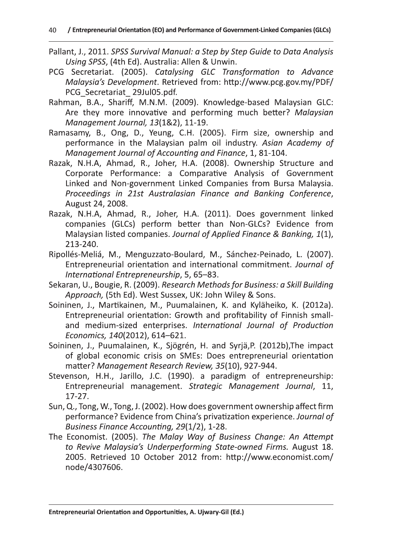- Pallant, J., 2011. SPSS Survival Manual: a Step by Step Guide to Data Analysis Using SPSS, (4th Ed). Australia: Allen & Unwin.
- PCG Secretariat. (2005). Catalysing GLC Transformation to Advance Malaysia's Development. Retrieved from: http://www.pcg.gov.my/PDF/ PCG Secretariat 29Jul05.pdf.
- Rahman, B.A., Shariff, M.N.M. (2009). Knowledge-based Malaysian GLC: Are they more innovative and performing much better? Malaysian Management Journal, 13(1&2), 11-19.
- Ramasamy, B., Ong, D., Yeung, C.H. (2005). Firm size, ownership and performance in the Malaysian palm oil industry. Asian Academy of Management Journal of Accounting and Finance, 1, 81-104.
- Razak, N.H.A, Ahmad, R., Joher, H.A. (2008). Ownership Structure and Corporate Performance: a Comparative Analysis of Government Linked and Non-government Linked Companies from Bursa Malaysia. Proceedings in 21st Australasian Finance and Banking Conference, August 24, 2008.
- Razak, N.H.A, Ahmad, R., Joher, H.A. (2011). Does government linked companies (GLCs) perform better than Non-GLCs? Evidence from Malaysian listed companies. Journal of Applied Finance & Banking, 1(1), 213-240.
- Ripollés-Meliá, M., Menguzzato-Boulard, M., Sánchez-Peinado, L. (2007). Entrepreneurial orientation and international commitment. Journal of International Entrepreneurship, 5, 65-83.
- Sekaran, U., Bougie, R. (2009). Research Methods for Business: a Skill Building Approach, (5th Ed). West Sussex, UK: John Wiley & Sons.
- Soininen, J., Martikainen, M., Puumalainen, K. and Kyläheiko, K. (2012a). Entrepreneurial orientation: Growth and profitability of Finnish smalland medium-sized enterprises. International Journal of Production Economics, 140(2012), 614-621.
- Soininen, J., Puumalainen, K., Sjögrén, H. and Syrjä, P. (2012b), The impact of global economic crisis on SMEs: Does entrepreneurial orientation matter? Management Research Review, 35(10), 927-944.
- Stevenson, H.H., Jarillo, J.C. (1990). a paradigm of entrepreneurship: Entrepreneurial management. Strategic Management Journal, 11,  $17-27.$
- Sun, Q., Tong, W., Tong, J. (2002). How does government ownership affect firm performance? Evidence from China's privatization experience. Journal of Business Finance Accounting, 29(1/2), 1-28.
- The Economist. (2005). The Malay Way of Business Change: An Attempt to Revive Malaysia's Underperforming State-owned Firms. August 18. 2005. Retrieved 10 October 2012 from: http://www.economist.com/ node/4307606.

Entrepreneurial Orientation and Opportunities, A. Ujwary-Gil (Ed.)